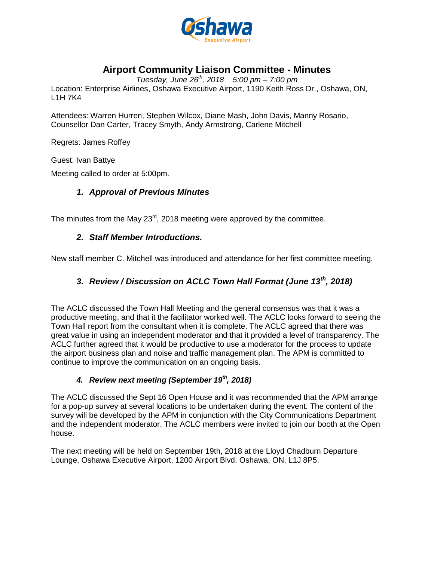

# **Airport Community Liaison Committee - Minutes**

*Tuesday, June 26th , 2018 5:00 pm – 7:00 pm* 

Location: Enterprise Airlines, Oshawa Executive Airport, 1190 Keith Ross Dr., Oshawa, ON, L1H 7K4

Attendees: Warren Hurren, Stephen Wilcox, Diane Mash, John Davis, Manny Rosario, Counsellor Dan Carter, Tracey Smyth, Andy Armstrong, Carlene Mitchell

Regrets: James Roffey

Guest: Ivan Battye

Meeting called to order at 5:00pm.

## *1. Approval of Previous Minutes*

The minutes from the May 23 $^{\text{rd}}$ , 2018 meeting were approved by the committee.

## *2. Staff Member Introductions.*

New staff member C. Mitchell was introduced and attendance for her first committee meeting.

## *3. Review / Discussion on ACLC Town Hall Format (June 13th, 2018)*

The ACLC discussed the Town Hall Meeting and the general consensus was that it was a productive meeting, and that it the facilitator worked well. The ACLC looks forward to seeing the Town Hall report from the consultant when it is complete. The ACLC agreed that there was great value in using an independent moderator and that it provided a level of transparency. The ACLC further agreed that it would be productive to use a moderator for the process to update the airport business plan and noise and traffic management plan. The APM is committed to continue to improve the communication on an ongoing basis.

#### *4. Review next meeting (September 19th, 2018)*

The ACLC discussed the Sept 16 Open House and it was recommended that the APM arrange for a pop-up survey at several locations to be undertaken during the event. The content of the survey will be developed by the APM in conjunction with the City Communications Department and the independent moderator. The ACLC members were invited to join our booth at the Open house.

The next meeting will be held on September 19th, 2018 at the Lloyd Chadburn Departure Lounge, Oshawa Executive Airport, 1200 Airport Blvd. Oshawa, ON, L1J 8P5.